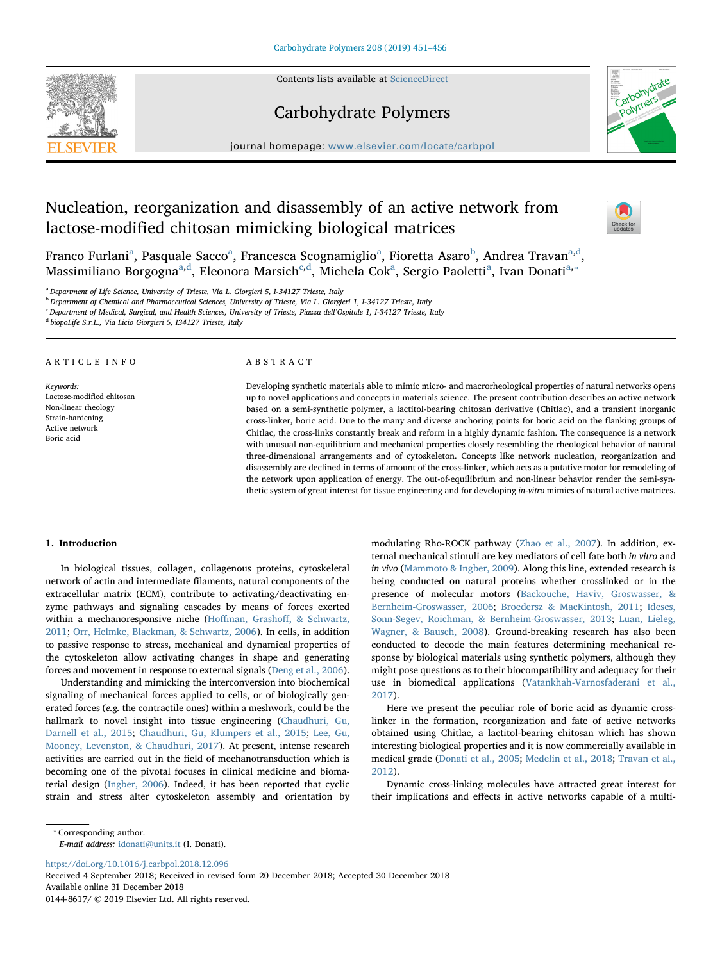Contents lists available at [ScienceDirect](http://www.sciencedirect.com/science/journal/01448617)

Carbohydrate Polymers



journal homepage: [www.elsevier.com/locate/carbpol](https://www.elsevier.com/locate/carbpol)

# Nucleation, reorganization and disassembly of an active network from lactose-modified chitosan mimicking biological matrices



Fr[a](#page-0-0)nco Furlani<sup>a</sup>, Pasquale Sacco<sup>a</sup>, Francesca Scognamiglio<sup>a</sup>, Fioretta Asaro<sup>[b](#page-0-1)</sup>, Andrea Travan<sup>a[,d](#page-0-2)</sup>, M[a](#page-0-0)ssimiliano Borgogna<sup>a,[d](#page-0-2)</sup>, Eleonora Marsi[c](#page-0-3)h<sup>e,d</sup>, Michela Cok<sup>a</sup>, Sergio Paoletti<sup>a</sup>, Ivan Donati<sup>a,\*</sup>

<span id="page-0-0"></span><sup>a</sup> Department of Life Science, University of Trieste, Via L. Giorgieri 5, I-34127 Trieste, Italy

<span id="page-0-1"></span> $b$  Department of Chemical and Pharmaceutical Sciences, University of Trieste, Via L. Giorgieri 1, I-34127 Trieste, Italy

<span id="page-0-3"></span><sup>c</sup> Department of Medical, Surgical, and Health Sciences, University of Trieste, Piazza dell'Ospitale 1, I-34127 Trieste, Italy

<span id="page-0-2"></span><sup>d</sup> biopoLife S.r.L., Via Licio Giorgieri 5, I34127 Trieste, Italy

#### ARTICLE INFO

Keywords: Lactose-modified chitosan Non-linear rheology Strain-hardening Active network Boric acid

# ABSTRACT

Developing synthetic materials able to mimic micro- and macrorheological properties of natural networks opens up to novel applications and concepts in materials science. The present contribution describes an active network based on a semi-synthetic polymer, a lactitol-bearing chitosan derivative (Chitlac), and a transient inorganic cross-linker, boric acid. Due to the many and diverse anchoring points for boric acid on the flanking groups of Chitlac, the cross-links constantly break and reform in a highly dynamic fashion. The consequence is a network with unusual non-equilibrium and mechanical properties closely resembling the rheological behavior of natural three-dimensional arrangements and of cytoskeleton. Concepts like network nucleation, reorganization and disassembly are declined in terms of amount of the cross-linker, which acts as a putative motor for remodeling of the network upon application of energy. The out-of-equilibrium and non-linear behavior render the semi-synthetic system of great interest for tissue engineering and for developing in-vitro mimics of natural active matrices.

### 1. Introduction

In biological tissues, collagen, collagenous proteins, cytoskeletal network of actin and intermediate filaments, natural components of the extracellular matrix (ECM), contribute to activating/deactivating enzyme pathways and signaling cascades by means of forces exerted within a mechanoresponsive niche (Hoffman, Grashoff[, & Schwartz,](#page-5-0) [2011;](#page-5-0) [Orr, Helmke, Blackman, & Schwartz, 2006\)](#page-5-1). In cells, in addition to passive response to stress, mechanical and dynamical properties of the cytoskeleton allow activating changes in shape and generating forces and movement in response to external signals [\(Deng et al., 2006](#page-5-2)).

Understanding and mimicking the interconversion into biochemical signaling of mechanical forces applied to cells, or of biologically generated forces (e.g. the contractile ones) within a meshwork, could be the hallmark to novel insight into tissue engineering ([Chaudhuri, Gu,](#page-5-3) [Darnell et al., 2015](#page-5-3); [Chaudhuri, Gu, Klumpers et al., 2015;](#page-5-4) [Lee, Gu,](#page-5-5) [Mooney, Levenston, & Chaudhuri, 2017\)](#page-5-5). At present, intense research activities are carried out in the field of mechanotransduction which is becoming one of the pivotal focuses in clinical medicine and biomaterial design ([Ingber, 2006](#page-5-6)). Indeed, it has been reported that cyclic strain and stress alter cytoskeleton assembly and orientation by

modulating Rho-ROCK pathway ([Zhao et al., 2007](#page-5-7)). In addition, external mechanical stimuli are key mediators of cell fate both in vitro and in vivo ([Mammoto & Ingber, 2009](#page-5-8)). Along this line, extended research is being conducted on natural proteins whether crosslinked or in the presence of molecular motors ([Backouche, Haviv, Groswasser, &](#page-5-9) [Bernheim-Groswasser, 2006](#page-5-9); [Broedersz & MacKintosh, 2011;](#page-5-10) [Ideses,](#page-5-11) [Sonn-Segev, Roichman, & Bernheim-Groswasser, 2013;](#page-5-11) [Luan, Lieleg,](#page-5-12) [Wagner, & Bausch, 2008](#page-5-12)). Ground-breaking research has also been conducted to decode the main features determining mechanical response by biological materials using synthetic polymers, although they might pose questions as to their biocompatibility and adequacy for their use in biomedical applications ([Vatankhah-Varnosfaderani et al.,](#page-5-13) [2017\)](#page-5-13).

Here we present the peculiar role of boric acid as dynamic crosslinker in the formation, reorganization and fate of active networks obtained using Chitlac, a lactitol-bearing chitosan which has shown interesting biological properties and it is now commercially available in medical grade [\(Donati et al., 2005;](#page-5-14) [Medelin et al., 2018](#page-5-15); [Travan et al.,](#page-5-16) [2012\)](#page-5-16).

Dynamic cross-linking molecules have attracted great interest for their implications and effects in active networks capable of a multi-

<span id="page-0-4"></span>⁎ Corresponding author.

E-mail address: [idonati@units.it](mailto:idonati@units.it) (I. Donati).

<https://doi.org/10.1016/j.carbpol.2018.12.096>

Received 4 September 2018; Received in revised form 20 December 2018; Accepted 30 December 2018 Available online 31 December 2018 0144-8617/ © 2019 Elsevier Ltd. All rights reserved.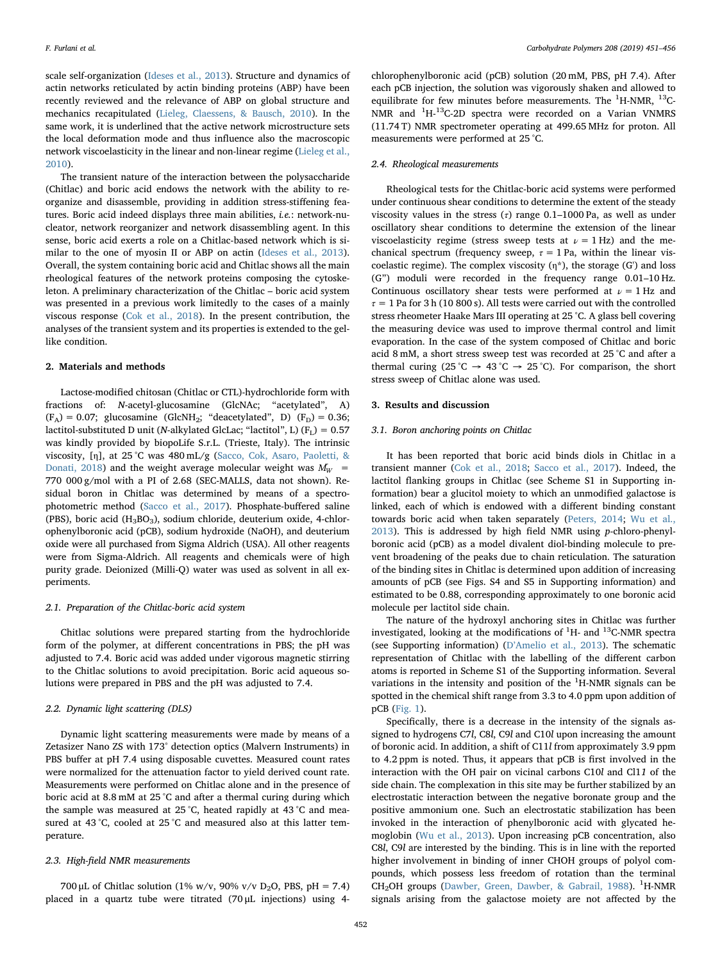scale self-organization [\(Ideses et al., 2013\)](#page-5-11). Structure and dynamics of actin networks reticulated by actin binding proteins (ABP) have been recently reviewed and the relevance of ABP on global structure and mechanics recapitulated ([Lieleg, Claessens, & Bausch, 2010](#page-5-17)). In the same work, it is underlined that the active network microstructure sets the local deformation mode and thus influence also the macroscopic network viscoelasticity in the linear and non-linear regime [\(Lieleg et al.,](#page-5-17) [2010\)](#page-5-17).

The transient nature of the interaction between the polysaccharide (Chitlac) and boric acid endows the network with the ability to reorganize and disassemble, providing in addition stress-stiffening features. Boric acid indeed displays three main abilities, *i.e.*: network-nucleator, network reorganizer and network disassembling agent. In this sense, boric acid exerts a role on a Chitlac-based network which is similar to the one of myosin II or ABP on actin ([Ideses et al., 2013](#page-5-11)). Overall, the system containing boric acid and Chitlac shows all the main rheological features of the network proteins composing the cytoskeleton. A preliminary characterization of the Chitlac – boric acid system was presented in a previous work limitedly to the cases of a mainly viscous response [\(Cok et al., 2018\)](#page-5-18). In the present contribution, the analyses of the transient system and its properties is extended to the gellike condition.

#### 2. Materials and methods

Lactose-modified chitosan (Chitlac or CTL)-hydrochloride form with fractions of: N-acetyl-glucosamine (GlcNAc; "acetylated", A)  $(F_A) = 0.07$ ; glucosamine (GlcNH<sub>2</sub>; "deacetylated", D)  $(F_D) = 0.36$ ; lactitol-substituted D unit (N-alkylated GlcLac; "lactitol", L)  $(F_L) = 0.57$ was kindly provided by biopoLife S.r.L. (Trieste, Italy). The intrinsic viscosity, [η], at 25 °C was 480 mL/g ([Sacco, Cok, Asaro, Paoletti, &](#page-5-19) [Donati, 2018\)](#page-5-19) and the weight average molecular weight was  $\bar{M_W}$  = 770 000 g/mol with a PI of 2.68 (SEC-MALLS, data not shown). Residual boron in Chitlac was determined by means of a spectrophotometric method ([Sacco et al., 2017](#page-5-20)). Phosphate-buffered saline (PBS), boric acid  $(H_3BO_3)$ , sodium chloride, deuterium oxide, 4-chlorophenylboronic acid (pCB), sodium hydroxide (NaOH), and deuterium oxide were all purchased from Sigma Aldrich (USA). All other reagents were from Sigma-Aldrich. All reagents and chemicals were of high purity grade. Deionized (Milli-Q) water was used as solvent in all experiments.

#### 2.1. Preparation of the Chitlac-boric acid system

Chitlac solutions were prepared starting from the hydrochloride form of the polymer, at different concentrations in PBS; the pH was adjusted to 7.4. Boric acid was added under vigorous magnetic stirring to the Chitlac solutions to avoid precipitation. Boric acid aqueous solutions were prepared in PBS and the pH was adjusted to 7.4.

### 2.2. Dynamic light scattering (DLS)

Dynamic light scattering measurements were made by means of a Zetasizer Nano ZS with 173° detection optics (Malvern Instruments) in PBS buffer at pH 7.4 using disposable cuvettes. Measured count rates were normalized for the attenuation factor to yield derived count rate. Measurements were performed on Chitlac alone and in the presence of boric acid at 8.8 mM at 25 °C and after a thermal curing during which the sample was measured at 25 °C, heated rapidly at 43 °C and measured at 43 °C, cooled at 25 °C and measured also at this latter temperature.

#### 2.3. High-field NMR measurements

700 μL of Chitlac solution (1% w/v, 90% v/v D<sub>2</sub>O, PBS, pH = 7.4) placed in a quartz tube were titrated (70 μL injections) using 4chlorophenylboronic acid (pCB) solution (20 mM, PBS, pH 7.4). After each pCB injection, the solution was vigorously shaken and allowed to equilibrate for few minutes before measurements. The  $^1$ H-NMR,  $^{13}$ C-NMR and <sup>1</sup>H-<sup>13</sup>C-2D spectra were recorded on a Varian VNMRS (11.74 T) NMR spectrometer operating at 499.65 MHz for proton. All measurements were performed at 25 °C.

#### 2.4. Rheological measurements

Rheological tests for the Chitlac-boric acid systems were performed under continuous shear conditions to determine the extent of the steady viscosity values in the stress  $(\tau)$  range 0.1–1000 Pa, as well as under oscillatory shear conditions to determine the extension of the linear viscoelasticity regime (stress sweep tests at  $\nu = 1$  Hz) and the mechanical spectrum (frequency sweep,  $\tau = 1$  Pa, within the linear viscoelastic regime). The complex viscosity  $(\eta^*)$ , the storage (G') and loss (G") moduli were recorded in the frequency range 0.01–10 Hz. Continuous oscillatory shear tests were performed at  $\nu = 1$  Hz and  $\tau = 1$  Pa for 3 h (10 800 s). All tests were carried out with the controlled stress rheometer Haake Mars III operating at 25 °C. A glass bell covering the measuring device was used to improve thermal control and limit evaporation. In the case of the system composed of Chitlac and boric acid 8 mM, a short stress sweep test was recorded at 25 °C and after a thermal curing (25 °C  $\rightarrow$  43 °C  $\rightarrow$  25 °C). For comparison, the short stress sweep of Chitlac alone was used.

#### 3. Results and discussion

## 3.1. Boron anchoring points on Chitlac

It has been reported that boric acid binds diols in Chitlac in a transient manner [\(Cok et al., 2018](#page-5-18); [Sacco et al., 2017\)](#page-5-20). Indeed, the lactitol flanking groups in Chitlac (see Scheme S1 in Supporting information) bear a glucitol moiety to which an unmodified galactose is linked, each of which is endowed with a different binding constant towards boric acid when taken separately ([Peters, 2014](#page-5-21); [Wu et al.,](#page-5-22) [2013\)](#page-5-22). This is addressed by high field NMR using p-chloro-phenylboronic acid (pCB) as a model divalent diol-binding molecule to prevent broadening of the peaks due to chain reticulation. The saturation of the binding sites in Chitlac is determined upon addition of increasing amounts of pCB (see Figs. S4 and S5 in Supporting information) and estimated to be 0.88, corresponding approximately to one boronic acid molecule per lactitol side chain.

The nature of the hydroxyl anchoring sites in Chitlac was further investigated, looking at the modifications of  ${}^{1}$ H- and  ${}^{13}$ C-NMR spectra (see Supporting information) (D'[Amelio et al., 2013\)](#page-5-23). The schematic representation of Chitlac with the labelling of the different carbon atoms is reported in Scheme S1 of the Supporting information. Several variations in the intensity and position of the  ${}^{1}$ H-NMR signals can be spotted in the chemical shift range from 3.3 to 4.0 ppm upon addition of pCB ([Fig. 1\)](#page-2-0).

Specifically, there is a decrease in the intensity of the signals assigned to hydrogens C7l, C8l, C9l and C10l upon increasing the amount of boronic acid. In addition, a shift of C11l from approximately 3.9 ppm to 4.2 ppm is noted. Thus, it appears that pCB is first involved in the interaction with the OH pair on vicinal carbons C10l and Cl11 of the side chain. The complexation in this site may be further stabilized by an electrostatic interaction between the negative boronate group and the positive ammonium one. Such an electrostatic stabilization has been invoked in the interaction of phenylboronic acid with glycated hemoglobin [\(Wu et al., 2013\)](#page-5-22). Upon increasing pCB concentration, also C8l, C9l are interested by the binding. This is in line with the reported higher involvement in binding of inner CHOH groups of polyol compounds, which possess less freedom of rotation than the terminal CH<sub>2</sub>OH groups ([Dawber, Green, Dawber, & Gabrail, 1988](#page-5-24)). <sup>1</sup>H-NMR signals arising from the galactose moiety are not affected by the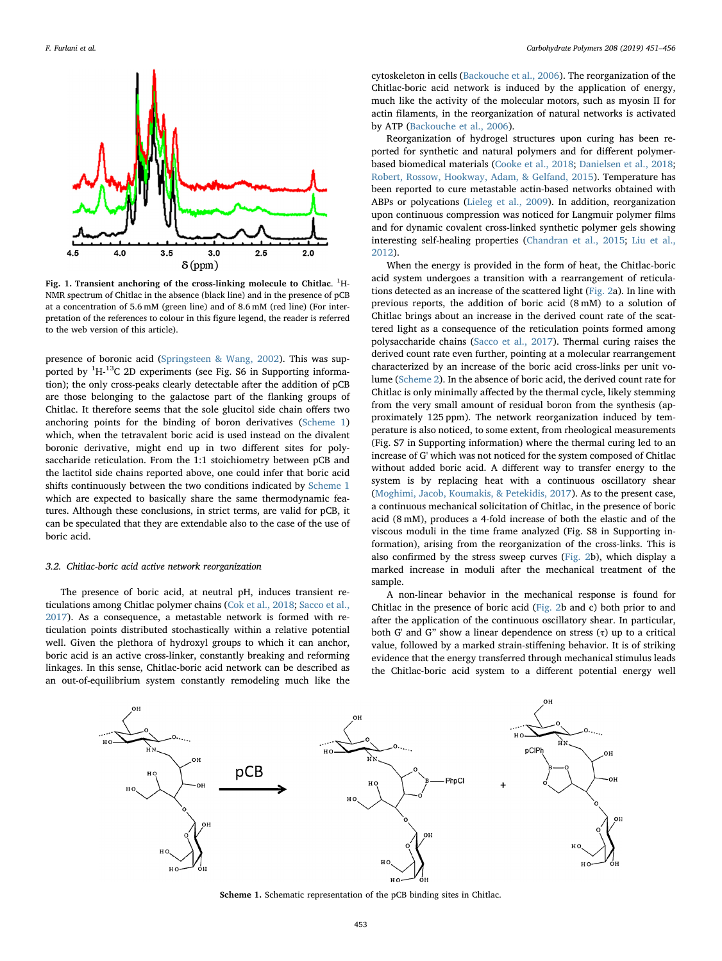<span id="page-2-0"></span>

Fig. 1. Transient anchoring of the cross-linking molecule to Chitlac.  ${}^{1}$ H-NMR spectrum of Chitlac in the absence (black line) and in the presence of pCB at a concentration of 5.6 mM (green line) and of 8.6 mM (red line) (For interpretation of the references to colour in this figure legend, the reader is referred to the web version of this article).

presence of boronic acid [\(Springsteen & Wang, 2002](#page-5-25)). This was supported by <sup>1</sup>H-<sup>13</sup>C 2D experiments (see Fig. S6 in Supporting information); the only cross-peaks clearly detectable after the addition of pCB are those belonging to the galactose part of the flanking groups of Chitlac. It therefore seems that the sole glucitol side chain offers two anchoring points for the binding of boron derivatives ([Scheme 1\)](#page-2-1) which, when the tetravalent boric acid is used instead on the divalent boronic derivative, might end up in two different sites for polysaccharide reticulation. From the 1:1 stoichiometry between pCB and the lactitol side chains reported above, one could infer that boric acid shifts continuously between the two conditions indicated by [Scheme 1](#page-2-1) which are expected to basically share the same thermodynamic features. Although these conclusions, in strict terms, are valid for pCB, it can be speculated that they are extendable also to the case of the use of boric acid.

#### 3.2. Chitlac-boric acid active network reorganization

The presence of boric acid, at neutral pH, induces transient reticulations among Chitlac polymer chains ([Cok et al., 2018;](#page-5-18) [Sacco et al.,](#page-5-20) [2017\)](#page-5-20). As a consequence, a metastable network is formed with reticulation points distributed stochastically within a relative potential well. Given the plethora of hydroxyl groups to which it can anchor, boric acid is an active cross-linker, constantly breaking and reforming linkages. In this sense, Chitlac-boric acid network can be described as an out-of-equilibrium system constantly remodeling much like the

cytoskeleton in cells [\(Backouche et al., 2006\)](#page-5-9). The reorganization of the Chitlac-boric acid network is induced by the application of energy, much like the activity of the molecular motors, such as myosin II for actin filaments, in the reorganization of natural networks is activated by ATP [\(Backouche et al., 2006\)](#page-5-9).

Reorganization of hydrogel structures upon curing has been reported for synthetic and natural polymers and for different polymerbased biomedical materials ([Cooke et al., 2018](#page-5-26); [Danielsen et al., 2018](#page-5-27); [Robert, Rossow, Hookway, Adam, & Gelfand, 2015\)](#page-5-28). Temperature has been reported to cure metastable actin-based networks obtained with ABPs or polycations [\(Lieleg et al., 2009](#page-5-29)). In addition, reorganization upon continuous compression was noticed for Langmuir polymer films and for dynamic covalent cross-linked synthetic polymer gels showing interesting self-healing properties ([Chandran et al., 2015;](#page-5-30) [Liu et al.,](#page-5-31) [2012\)](#page-5-31).

When the energy is provided in the form of heat, the Chitlac-boric acid system undergoes a transition with a rearrangement of reticulations detected as an increase of the scattered light [\(Fig. 2a](#page-3-0)). In line with previous reports, the addition of boric acid (8 mM) to a solution of Chitlac brings about an increase in the derived count rate of the scattered light as a consequence of the reticulation points formed among polysaccharide chains [\(Sacco et al., 2017](#page-5-20)). Thermal curing raises the derived count rate even further, pointing at a molecular rearrangement characterized by an increase of the boric acid cross-links per unit volume [\(Scheme 2](#page-3-1)). In the absence of boric acid, the derived count rate for Chitlac is only minimally affected by the thermal cycle, likely stemming from the very small amount of residual boron from the synthesis (approximately 125 ppm). The network reorganization induced by temperature is also noticed, to some extent, from rheological measurements (Fig. S7 in Supporting information) where the thermal curing led to an increase of G' which was not noticed for the system composed of Chitlac without added boric acid. A different way to transfer energy to the system is by replacing heat with a continuous oscillatory shear ([Moghimi, Jacob, Koumakis, & Petekidis, 2017\)](#page-5-32). As to the present case, a continuous mechanical solicitation of Chitlac, in the presence of boric acid (8 mM), produces a 4-fold increase of both the elastic and of the viscous moduli in the time frame analyzed (Fig. S8 in Supporting information), arising from the reorganization of the cross-links. This is also confirmed by the stress sweep curves [\(Fig. 2](#page-3-0)b), which display a marked increase in moduli after the mechanical treatment of the sample.

A non-linear behavior in the mechanical response is found for Chitlac in the presence of boric acid ([Fig. 2](#page-3-0)b and c) both prior to and after the application of the continuous oscillatory shear. In particular, both G' and G" show a linear dependence on stress  $(\tau)$  up to a critical value, followed by a marked strain-stiffening behavior. It is of striking evidence that the energy transferred through mechanical stimulus leads the Chitlac-boric acid system to a different potential energy well

<span id="page-2-1"></span>

Scheme 1. Schematic representation of the pCB binding sites in Chitlac.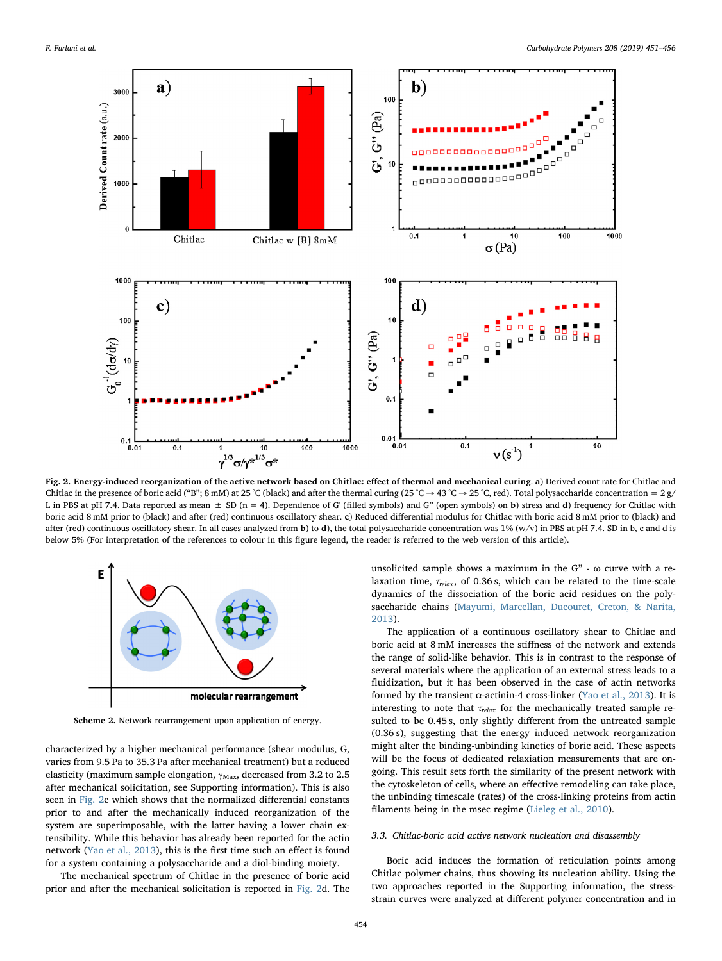<span id="page-3-0"></span>

Fig. 2. Energy-induced reorganization of the active network based on Chitlac: effect of thermal and mechanical curing. a) Derived count rate for Chitlac and Chitlac in the presence of boric acid ("B"; 8 mM) at 25 °C (black) and after the thermal curing (25 °C  $\rightarrow$  43 °C  $\rightarrow$  25 °C, red). Total polysaccharide concentration = 2 g/ L in PBS at pH 7.4. Data reported as mean  $\pm$  SD (n = 4). Dependence of G' (filled symbols) and G" (open symbols) on b) stress and d) frequency for Chitlac with boric acid 8 mM prior to (black) and after (red) continuous oscillatory shear. c) Reduced differential modulus for Chitlac with boric acid 8 mM prior to (black) and after (red) continuous oscillatory shear. In all cases analyzed from b) to d), the total polysaccharide concentration was  $1\%$  (w/v) in PBS at pH 7.4. SD in b, c and d is below 5% (For interpretation of the references to colour in this figure legend, the reader is referred to the web version of this article).

<span id="page-3-1"></span>

Scheme 2. Network rearrangement upon application of energy.

characterized by a higher mechanical performance (shear modulus, G, varies from 9.5 Pa to 35.3 Pa after mechanical treatment) but a reduced elasticity (maximum sample elongation,  $\gamma_{\text{Max}}$ , decreased from 3.2 to 2.5 after mechanical solicitation, see Supporting information). This is also seen in [Fig. 2c](#page-3-0) which shows that the normalized differential constants prior to and after the mechanically induced reorganization of the system are superimposable, with the latter having a lower chain extensibility. While this behavior has already been reported for the actin network [\(Yao et al., 2013\)](#page-5-33), this is the first time such an effect is found for a system containing a polysaccharide and a diol-binding moiety.

The mechanical spectrum of Chitlac in the presence of boric acid prior and after the mechanical solicitation is reported in [Fig. 2d](#page-3-0). The unsolicited sample shows a maximum in the  $G''$  -  $\omega$  curve with a relaxation time,  $\tau_{relax}$ , of 0.36 s, which can be related to the time-scale dynamics of the dissociation of the boric acid residues on the polysaccharide chains ([Mayumi, Marcellan, Ducouret, Creton, & Narita,](#page-5-34) [2013\)](#page-5-34).

The application of a continuous oscillatory shear to Chitlac and boric acid at 8 mM increases the stiffness of the network and extends the range of solid-like behavior. This is in contrast to the response of several materials where the application of an external stress leads to a fluidization, but it has been observed in the case of actin networks formed by the transient  $\alpha$ -actinin-4 cross-linker [\(Yao et al., 2013\)](#page-5-33). It is interesting to note that  $\tau_{relax}$  for the mechanically treated sample resulted to be 0.45 s, only slightly different from the untreated sample (0.36 s), suggesting that the energy induced network reorganization might alter the binding-unbinding kinetics of boric acid. These aspects will be the focus of dedicated relaxiation measurements that are ongoing. This result sets forth the similarity of the present network with the cytoskeleton of cells, where an effective remodeling can take place, the unbinding timescale (rates) of the cross-linking proteins from actin filaments being in the msec regime [\(Lieleg et al., 2010\)](#page-5-17).

#### 3.3. Chitlac-boric acid active network nucleation and disassembly

Boric acid induces the formation of reticulation points among Chitlac polymer chains, thus showing its nucleation ability. Using the two approaches reported in the Supporting information, the stressstrain curves were analyzed at different polymer concentration and in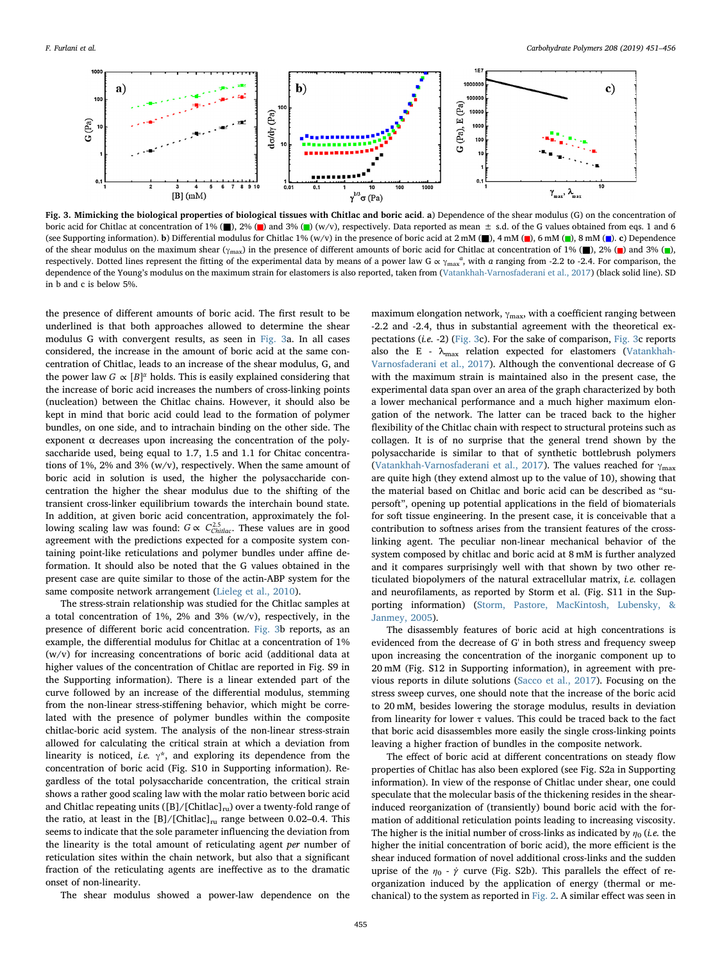<span id="page-4-0"></span>

Fig. 3. Mimicking the biological properties of biological tissues with Chitlac and boric acid. a) Dependence of the shear modulus (G) on the concentration of boric acid for Chitlac at concentration of 1% ( $\Box$ ), 2% ( $\Box$ ) and 3% ( $\Box$ ) (w/v), respectively. Data reported as mean  $\pm$  s.d. of the G values obtained from eqs. 1 and 6 (see Supporting information). b) Differential modulus for Chitlac 1% (w/v) in the presence of boric acid at  $2 \text{ mM } (\blacksquare)$ ,  $4 \text{ mM } (\blacksquare)$ ,  $6 \text{ mM } (\blacksquare)$ ,  $8 \text{ mM } (\blacksquare)$ ,  $c$ ) Dependence of the shear modulus on the maximum shear ( $\gamma_{\text{max}}$ ) in the presence of different amounts of boric acid for Chitlac at concentration of 1% (■), 2% (■), and 3% (■), respectively. Dotted lines represent the fitting of the experimental data by means of a power law G  $\alpha \gamma_{\text{max}}^a$ , with a ranging from -2.2 to -2.4. For comparison, the dependence of the Young's modulus on the maximum strain for elastomers is also reported, taken from [\(Vatankhah-Varnosfaderani et al., 2017\)](#page-5-13) (black solid line). SD in b and c is below 5%.

the presence of different amounts of boric acid. The first result to be underlined is that both approaches allowed to determine the shear modulus G with convergent results, as seen in [Fig. 3a](#page-4-0). In all cases considered, the increase in the amount of boric acid at the same concentration of Chitlac, leads to an increase of the shear modulus, G, and the power law  $G \propto [B]^{\alpha}$  holds. This is easily explained considering that the increase of boric acid increases the numbers of cross-linking points (nucleation) between the Chitlac chains. However, it should also be kept in mind that boric acid could lead to the formation of polymer bundles, on one side, and to intrachain binding on the other side. The exponent  $\alpha$  decreases upon increasing the concentration of the polysaccharide used, being equal to 1.7, 1.5 and 1.1 for Chitac concentrations of 1%, 2% and 3% (w/v), respectively. When the same amount of boric acid in solution is used, the higher the polysaccharide concentration the higher the shear modulus due to the shifting of the transient cross-linker equilibrium towards the interchain bound state. In addition, at given boric acid concentration, approximately the following scaling law was found:  $G \propto C_{\text{Children}}^{2.5}$ . These values are in good agreement with the predictions expected for a composite system containing point-like reticulations and polymer bundles under affine deformation. It should also be noted that the G values obtained in the present case are quite similar to those of the actin-ABP system for the same composite network arrangement ([Lieleg et al., 2010](#page-5-17)).

The stress-strain relationship was studied for the Chitlac samples at a total concentration of 1%, 2% and 3% (w/v), respectively, in the presence of different boric acid concentration. [Fig. 3b](#page-4-0) reports, as an example, the differential modulus for Chitlac at a concentration of 1% (w/v) for increasing concentrations of boric acid (additional data at higher values of the concentration of Chitlac are reported in Fig. S9 in the Supporting information). There is a linear extended part of the curve followed by an increase of the differential modulus, stemming from the non-linear stress-stiffening behavior, which might be correlated with the presence of polymer bundles within the composite chitlac-boric acid system. The analysis of the non-linear stress-strain allowed for calculating the critical strain at which a deviation from linearity is noticed, i.e.  $\gamma^*$ , and exploring its dependence from the concentration of boric acid (Fig. S10 in Supporting information). Regardless of the total polysaccharide concentration, the critical strain shows a rather good scaling law with the molar ratio between boric acid and Chitlac repeating units ( $[B]/[Chitlac]_{\text{ru}}$ ) over a twenty-fold range of the ratio, at least in the  $[B]/[Chitlac]_{ru}$  range between 0.02–0.4. This seems to indicate that the sole parameter influencing the deviation from the linearity is the total amount of reticulating agent per number of reticulation sites within the chain network, but also that a significant fraction of the reticulating agents are ineffective as to the dramatic onset of non-linearity.

The shear modulus showed a power-law dependence on the

maximum elongation network,  $\gamma_{\rm max}$ , with a coefficient ranging between -2.2 and -2.4, thus in substantial agreement with the theoretical expectations (i.e. -2) ([Fig. 3c](#page-4-0)). For the sake of comparison, [Fig. 3c](#page-4-0) reports also the E -  $\lambda_{\text{max}}$  relation expected for elastomers ([Vatankhah-](#page-5-13)[Varnosfaderani et al., 2017\)](#page-5-13). Although the conventional decrease of G with the maximum strain is maintained also in the present case, the experimental data span over an area of the graph characterized by both a lower mechanical performance and a much higher maximum elongation of the network. The latter can be traced back to the higher flexibility of the Chitlac chain with respect to structural proteins such as collagen. It is of no surprise that the general trend shown by the polysaccharide is similar to that of synthetic bottlebrush polymers ([Vatankhah-Varnosfaderani et al., 2017\)](#page-5-13). The values reached for  $\gamma_{\text{max}}$ are quite high (they extend almost up to the value of 10), showing that the material based on Chitlac and boric acid can be described as "supersoft", opening up potential applications in the field of biomaterials for soft tissue engineering. In the present case, it is conceivable that a contribution to softness arises from the transient features of the crosslinking agent. The peculiar non-linear mechanical behavior of the system composed by chitlac and boric acid at 8 mM is further analyzed and it compares surprisingly well with that shown by two other reticulated biopolymers of the natural extracellular matrix, i.e. collagen and neurofilaments, as reported by Storm et al. (Fig. S11 in the Supporting information) ([Storm, Pastore, MacKintosh, Lubensky, &](#page-5-35) [Janmey, 2005\)](#page-5-35).

The disassembly features of boric acid at high concentrations is evidenced from the decrease of G' in both stress and frequency sweep upon increasing the concentration of the inorganic component up to 20 mM (Fig. S12 in Supporting information), in agreement with previous reports in dilute solutions [\(Sacco et al., 2017\)](#page-5-20). Focusing on the stress sweep curves, one should note that the increase of the boric acid to 20 mM, besides lowering the storage modulus, results in deviation from linearity for lower  $\tau$  values. This could be traced back to the fact that boric acid disassembles more easily the single cross-linking points leaving a higher fraction of bundles in the composite network.

The effect of boric acid at different concentrations on steady flow properties of Chitlac has also been explored (see Fig. S2a in Supporting information). In view of the response of Chitlac under shear, one could speculate that the molecular basis of the thickening resides in the shearinduced reorganization of (transiently) bound boric acid with the formation of additional reticulation points leading to increasing viscosity. The higher is the initial number of cross-links as indicated by  $\eta_0$  (i.e. the higher the initial concentration of boric acid), the more efficient is the shear induced formation of novel additional cross-links and the sudden uprise of the  $\eta_0$  -  $\dot{\gamma}$  curve (Fig. S2b). This parallels the effect of reorganization induced by the application of energy (thermal or mechanical) to the system as reported in [Fig. 2.](#page-3-0) A similar effect was seen in